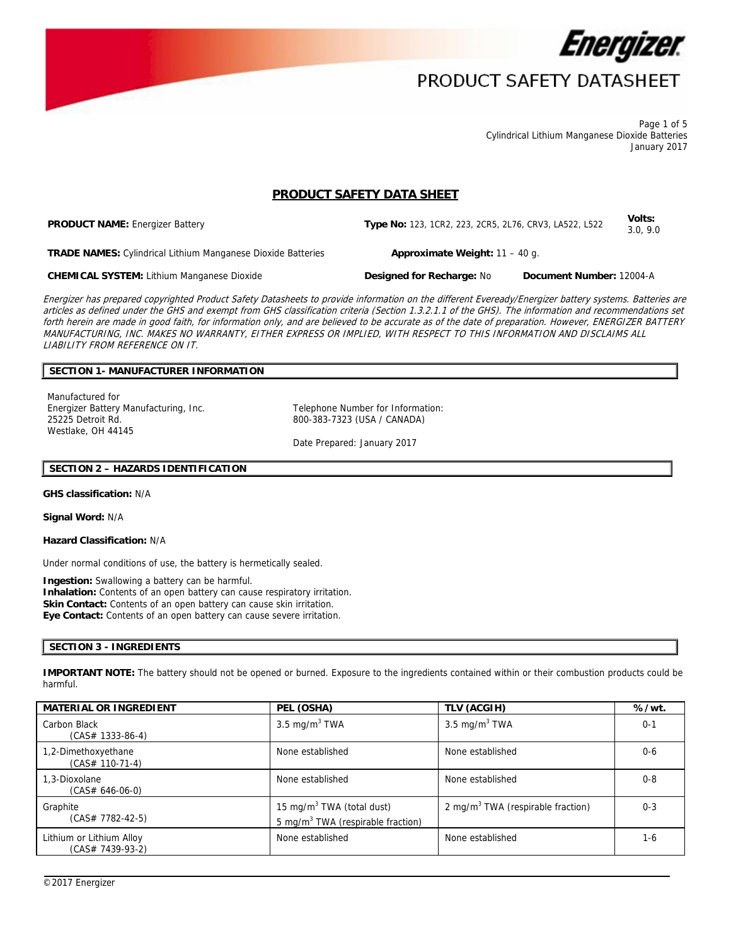

Page 1 of 5 Cylindrical Lithium Manganese Dioxide Batteries January 2017

# **PRODUCT SAFETY DATA SHEET**

**PRODUCT NAME:** Energizer Battery **Type No:** 123, 1CR2, 223, 2CR5, 2L76, CRV3, LA522, L522 **Volts:** 3.0, 9.0

**TRADE NAMES:** Cylindrical Lithium Manganese Dioxide Batteries **Approximate Weight:** 11 – 40 g.

**CHEMICAL SYSTEM:** Lithium Manganese Dioxide **Designed for Recharge:** No **Document Number:** 12004-A

Energizer has prepared copyrighted Product Safety Datasheets to provide information on the different Eveready/Energizer battery systems. Batteries are articles as defined under the GHS and exempt from GHS classification criteria (Section 1.3.2.1.1 of the GHS). The information and recommendations set forth herein are made in good faith, for information only, and are believed to be accurate as of the date of preparation. However, ENERGIZER BATTERY MANUFACTURING, INC. MAKES NO WARRANTY, EITHER EXPRESS OR IMPLIED, WITH RESPECT TO THIS INFORMATION AND DISCLAIMS ALL LIABILITY FROM REFERENCE ON IT.

### **SECTION 1- MANUFACTURER INFORMATION**

Manufactured for Energizer Battery Manufacturing, Inc. Telephone Number for Information: 25225 Detroit Rd. Westlake, OH 44145

800-383-7323 (USA / CANADA)

Date Prepared: January 2017

### **SECTION 2 – HAZARDS IDENTIFICATION**

**GHS classification:** N/A

**Signal Word:** N/A

**Hazard Classification:** N/A

Under normal conditions of use, the battery is hermetically sealed.

**Ingestion:** Swallowing a battery can be harmful. **Inhalation:** Contents of an open battery can cause respiratory irritation. **Skin Contact:** Contents of an open battery can cause skin irritation. **Eye Contact:** Contents of an open battery can cause severe irritation.

#### **SECTION 3 - INGREDIENTS**

**IMPORTANT NOTE:** The battery should not be opened or burned. Exposure to the ingredients contained within or their combustion products could be harmful.

| <b>MATERIAL OR INGREDIENT</b>                | PEL (OSHA)                                                                             | TLV (ACGIH)                                   | %/wt.   |
|----------------------------------------------|----------------------------------------------------------------------------------------|-----------------------------------------------|---------|
| Carbon Black<br>$(CAS# 1333-86-4)$           | 3.5 mg/m $3$ TWA                                                                       | 3.5 mg/m $3$ TWA                              | $0 - 1$ |
| 1,2-Dimethoxyethane<br>(CAS# 110-71-4)       | None established                                                                       | None established                              | $0 - 6$ |
| 1.3-Dioxolane<br>$(CAS# 646-06-0)$           | None established                                                                       | None established                              | $0 - 8$ |
| Graphite<br>$(CAS# 7782-42-5)$               | 15 mg/m <sup>3</sup> TWA (total dust)<br>5 mg/m <sup>3</sup> TWA (respirable fraction) | 2 mg/m <sup>3</sup> TWA (respirable fraction) | $0 - 3$ |
| Lithium or Lithium Alloy<br>(CAS# 7439-93-2) | None established                                                                       | None established                              | $1 - 6$ |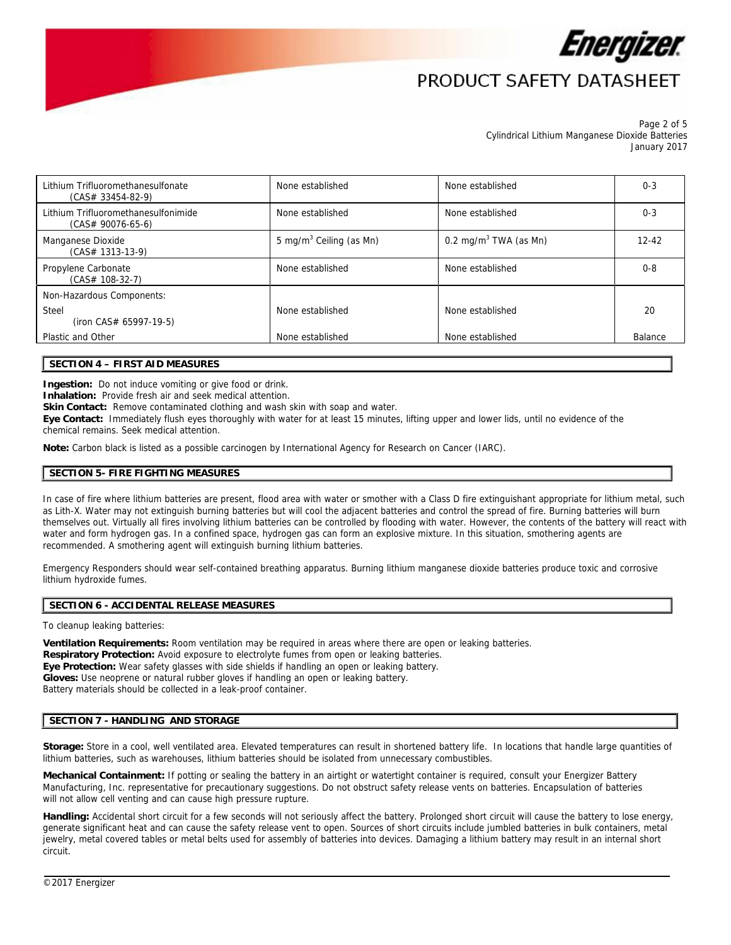

Page 2 of 5 Cylindrical Lithium Manganese Dioxide Batteries January 2017

| Lithium Trifluoromethanesulfonate<br>$(CAS# 33454-82-9)$   | None established<br>None established |                                   | $0 - 3$   |
|------------------------------------------------------------|--------------------------------------|-----------------------------------|-----------|
| Lithium Trifluoromethanesulfonimide<br>$(CAS# 90076-65-6)$ | None established                     | None established                  | $0 - 3$   |
| Manganese Dioxide<br>$(CAS# 1313-13-9)$                    | 5 mg/m <sup>3</sup> Ceiling (as Mn)  | 0.2 mg/m <sup>3</sup> TWA (as Mn) | $12 - 42$ |
| Propylene Carbonate<br>$(CAS# 108-32-7)$                   | None established                     | None established                  | $0 - 8$   |
| Non-Hazardous Components:                                  |                                      |                                   |           |
| Steel<br>$(iron CAS# 65997-19-5)$                          | None established                     | None established                  | 20        |
| Plastic and Other                                          | None established                     | None established                  | Balance   |
|                                                            |                                      |                                   |           |

## **SECTION 4 – FIRST AID MEASURES**

**Ingestion:** Do not induce vomiting or give food or drink.

**Inhalation:** Provide fresh air and seek medical attention.

Skin Contact: Remove contaminated clothing and wash skin with soap and water.

**Eye Contact:** Immediately flush eyes thoroughly with water for at least 15 minutes, lifting upper and lower lids, until no evidence of the chemical remains. Seek medical attention.

**Note:** Carbon black is listed as a possible carcinogen by International Agency for Research on Cancer (IARC).

## **SECTION 5- FIRE FIGHTING MEASURES**

In case of fire where lithium batteries are present, flood area with water or smother with a Class D fire extinguishant appropriate for lithium metal, such as Lith-X. Water may not extinguish burning batteries but will cool the adjacent batteries and control the spread of fire. Burning batteries will burn themselves out. Virtually all fires involving lithium batteries can be controlled by flooding with water. However, the contents of the battery will react with water and form hydrogen gas. In a confined space, hydrogen gas can form an explosive mixture. In this situation, smothering agents are recommended. A smothering agent will extinguish burning lithium batteries.

Emergency Responders should wear self-contained breathing apparatus. Burning lithium manganese dioxide batteries produce toxic and corrosive lithium hydroxide fumes.

#### **SECTION 6 - ACCIDENTAL RELEASE MEASURES**

To cleanup leaking batteries:

**Ventilation Requirements:** Room ventilation may be required in areas where there are open or leaking batteries. **Respiratory Protection:** Avoid exposure to electrolyte fumes from open or leaking batteries. **Eye Protection:** Wear safety glasses with side shields if handling an open or leaking battery. **Gloves:** Use neoprene or natural rubber gloves if handling an open or leaking battery. Battery materials should be collected in a leak-proof container.

#### **SECTION 7 - HANDLING AND STORAGE**

**Storage:** Store in a cool, well ventilated area. Elevated temperatures can result in shortened battery life. In locations that handle large quantities of lithium batteries, such as warehouses, lithium batteries should be isolated from unnecessary combustibles.

**Mechanical Containment:** If potting or sealing the battery in an airtight or watertight container is required, consult your Energizer Battery Manufacturing, Inc. representative for precautionary suggestions. Do not obstruct safety release vents on batteries. Encapsulation of batteries will not allow cell venting and can cause high pressure rupture.

Handling: Accidental short circuit for a few seconds will not seriously affect the battery. Prolonged short circuit will cause the battery to lose energy, generate significant heat and can cause the safety release vent to open. Sources of short circuits include jumbled batteries in bulk containers, metal jewelry, metal covered tables or metal belts used for assembly of batteries into devices. Damaging a lithium battery may result in an internal short circuit.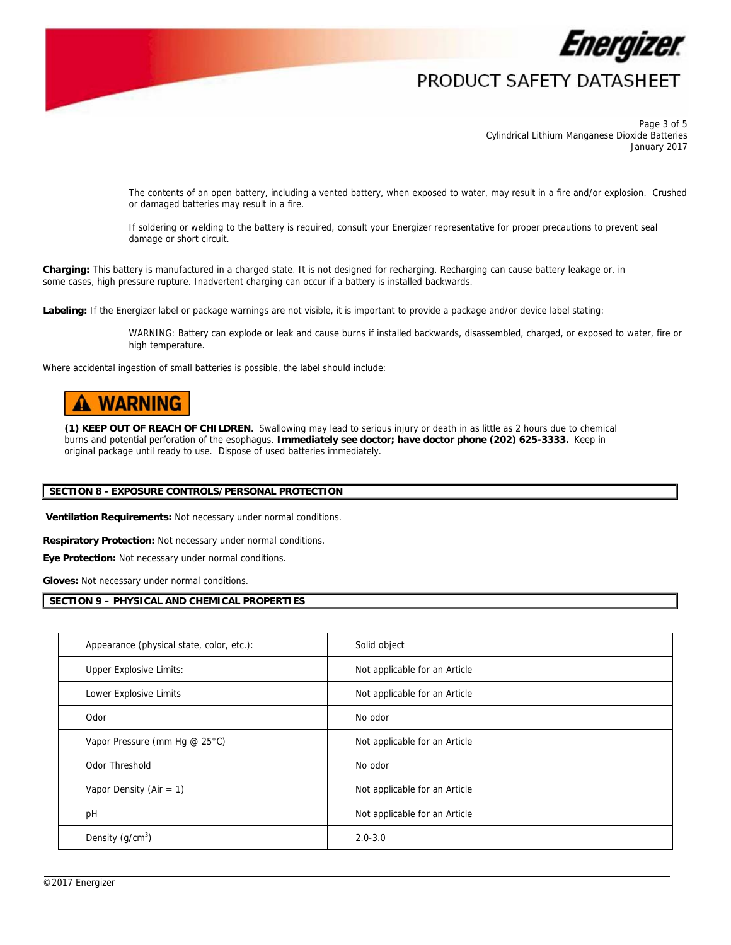

Page 3 of 5 Cylindrical Lithium Manganese Dioxide Batteries January 2017

The contents of an open battery, including a vented battery, when exposed to water, may result in a fire and/or explosion. Crushed or damaged batteries may result in a fire.

If soldering or welding to the battery is required, consult your Energizer representative for proper precautions to prevent seal damage or short circuit.

**Charging:** This battery is manufactured in a charged state. It is not designed for recharging. Recharging can cause battery leakage or, in some cases, high pressure rupture. Inadvertent charging can occur if a battery is installed backwards.

**Labeling:** If the Energizer label or package warnings are not visible, it is important to provide a package and/or device label stating:

WARNING: Battery can explode or leak and cause burns if installed backwards, disassembled, charged, or exposed to water, fire or high temperature.

Where accidental ingestion of small batteries is possible, the label should include:

# **WARNING**

**(1) KEEP OUT OF REACH OF CHILDREN.** Swallowing may lead to serious injury or death in as little as 2 hours due to chemical burns and potential perforation of the esophagus. **Immediately see doctor; have doctor phone (202) 625-3333.** Keep in original package until ready to use. Dispose of used batteries immediately.

### **SECTION 8 - EXPOSURE CONTROLS/PERSONAL PROTECTION**

 **Ventilation Requirements:** Not necessary under normal conditions.

**Respiratory Protection:** Not necessary under normal conditions.

**Eye Protection:** Not necessary under normal conditions.

**Gloves:** Not necessary under normal conditions.

#### **SECTION 9 – PHYSICAL AND CHEMICAL PROPERTIES**

| Appearance (physical state, color, etc.): | Solid object                  |
|-------------------------------------------|-------------------------------|
| <b>Upper Explosive Limits:</b>            | Not applicable for an Article |
| Lower Explosive Limits                    | Not applicable for an Article |
| Odor                                      | No odor                       |
| Vapor Pressure (mm Hg @ 25°C)             | Not applicable for an Article |
| Odor Threshold                            | No odor                       |
| Vapor Density (Air = $1$ )                | Not applicable for an Article |
| pH                                        | Not applicable for an Article |
| Density $(g/cm3)$                         | $2.0 - 3.0$                   |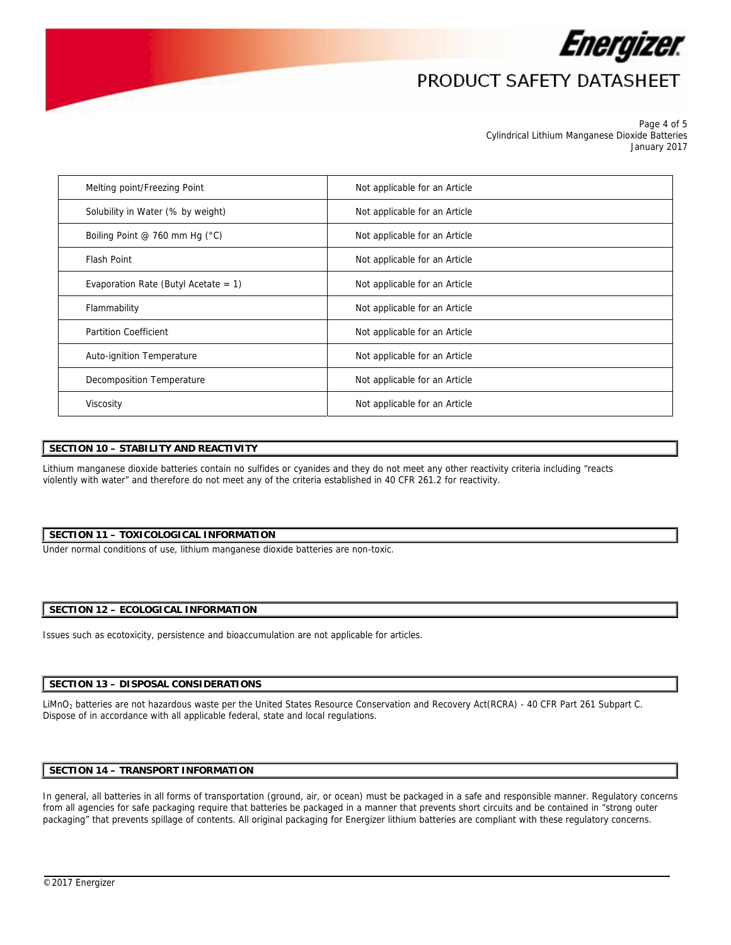

Page 4 of 5 Cylindrical Lithium Manganese Dioxide Batteries January 2017

| Melting point/Freezing Point            | Not applicable for an Article |
|-----------------------------------------|-------------------------------|
| Solubility in Water (% by weight)       | Not applicable for an Article |
| Boiling Point @ 760 mm Hg (°C)          | Not applicable for an Article |
| <b>Flash Point</b>                      | Not applicable for an Article |
| Evaporation Rate (Butyl Acetate = $1$ ) | Not applicable for an Article |
| Flammability                            | Not applicable for an Article |
| <b>Partition Coefficient</b>            | Not applicable for an Article |
| Auto-ignition Temperature               | Not applicable for an Article |
| Decomposition Temperature               | Not applicable for an Article |
| Viscosity                               | Not applicable for an Article |

### **SECTION 10 – STABILITY AND REACTIVITY**

Lithium manganese dioxide batteries contain no sulfides or cyanides and they do not meet any other reactivity criteria including "reacts violently with water" and therefore do not meet any of the criteria established in 40 CFR 261.2 for reactivity.

#### **SECTION 11 – TOXICOLOGICAL INFORMATION**

Under normal conditions of use, lithium manganese dioxide batteries are non-toxic.

#### **SECTION 12 – ECOLOGICAL INFORMATION**

Issues such as ecotoxicity, persistence and bioaccumulation are not applicable for articles.

#### **SECTION 13 – DISPOSAL CONSIDERATIONS**

LiMnO2 batteries are not hazardous waste per the United States Resource Conservation and Recovery Act(RCRA) - 40 CFR Part 261 Subpart C. Dispose of in accordance with all applicable federal, state and local regulations.

### **SECTION 14 – TRANSPORT INFORMATION**

In general, all batteries in all forms of transportation (ground, air, or ocean) must be packaged in a safe and responsible manner. Regulatory concerns from all agencies for safe packaging require that batteries be packaged in a manner that prevents short circuits and be contained in "strong outer packaging" that prevents spillage of contents. All original packaging for Energizer lithium batteries are compliant with these regulatory concerns.